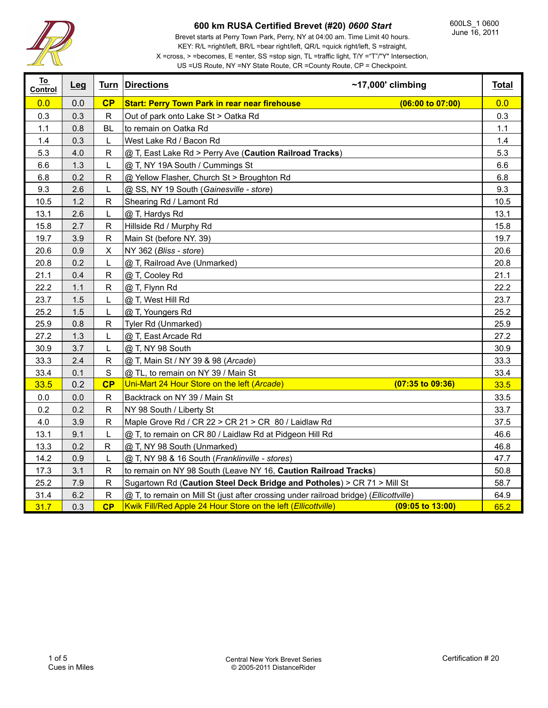

Brevet starts at Perry Town Park, Perry, NY at 04:00 am. Time Limit 40 hours. KEY: R/L =right/left, BR/L =bear right/left, QR/L =quick right/left, S =straight,

X =cross, > =becomes, E =enter, SS =stop sign, TL =traffic light, T/Y ="T"/"Y" Intersection, US =US Route, NY =NY State Route, CR =County Route, CP = Checkpoint.

| To<br>Control | Leg |              | <b>Turn Directions</b>                                                                | $~17,000$ ' climbing        | <b>Total</b> |
|---------------|-----|--------------|---------------------------------------------------------------------------------------|-----------------------------|--------------|
| 0.0           | 0.0 | CP           | <b>Start: Perry Town Park in rear near firehouse</b>                                  | (06:00 to 07:00)            | 0.0          |
| 0.3           | 0.3 | $\mathsf R$  | Out of park onto Lake St > Oatka Rd                                                   |                             | 0.3          |
| 1.1           | 0.8 | <b>BL</b>    | to remain on Oatka Rd                                                                 |                             | 1.1          |
| 1.4           | 0.3 | L            | West Lake Rd / Bacon Rd                                                               |                             | 1.4          |
| 5.3           | 4.0 | $\mathsf{R}$ | @ T, East Lake Rd > Perry Ave (Caution Railroad Tracks)                               |                             | 5.3          |
| 6.6           | 1.3 | L            | @ T, NY 19A South / Cummings St                                                       |                             | 6.6          |
| 6.8           | 0.2 | $\mathsf{R}$ | @ Yellow Flasher, Church St > Broughton Rd                                            |                             | 6.8          |
| 9.3           | 2.6 | L            | @ SS, NY 19 South (Gainesville - store)                                               |                             | 9.3          |
| 10.5          | 1.2 | $\mathsf{R}$ | Shearing Rd / Lamont Rd                                                               |                             | 10.5         |
| 13.1          | 2.6 | L            | @ T, Hardys Rd                                                                        |                             | 13.1         |
| 15.8          | 2.7 | $\mathsf{R}$ | Hillside Rd / Murphy Rd                                                               |                             | 15.8         |
| 19.7          | 3.9 | $\mathsf{R}$ | Main St (before NY. 39)                                                               |                             | 19.7         |
| 20.6          | 0.9 | X            | NY 362 (Bliss - store)                                                                |                             | 20.6         |
| 20.8          | 0.2 | L            | @ T, Railroad Ave (Unmarked)                                                          |                             | 20.8         |
| 21.1          | 0.4 | R            | @ T, Cooley Rd                                                                        |                             | 21.1         |
| 22.2          | 1.1 | ${\sf R}$    | @ T, Flynn Rd                                                                         |                             | 22.2         |
| 23.7          | 1.5 | L            | @ T, West Hill Rd                                                                     |                             | 23.7         |
| 25.2          | 1.5 | L            | @ T, Youngers Rd                                                                      |                             | 25.2         |
| 25.9          | 0.8 | $\mathsf{R}$ | Tyler Rd (Unmarked)                                                                   |                             | 25.9         |
| 27.2          | 1.3 | L            | @ T, East Arcade Rd                                                                   |                             | 27.2         |
| 30.9          | 3.7 | L            | @ T, NY 98 South                                                                      |                             | 30.9         |
| 33.3          | 2.4 | ${\sf R}$    | @ T, Main St / NY 39 & 98 (Arcade)                                                    |                             | 33.3         |
| 33.4          | 0.1 | $\mathbf S$  | @ TL, to remain on NY 39 / Main St                                                    |                             | 33.4         |
| 33.5          | 0.2 | CP           | Uni-Mart 24 Hour Store on the left (Arcade)                                           | $(07:35$ to $09:36)$        | 33.5         |
| $0.0\,$       | 0.0 | $\mathsf R$  | Backtrack on NY 39 / Main St                                                          |                             | 33.5         |
| 0.2           | 0.2 | $\mathsf R$  | NY 98 South / Liberty St                                                              |                             | 33.7         |
| 4.0           | 3.9 | $\mathsf{R}$ | Maple Grove Rd / CR 22 > CR 21 > CR 80 / Laidlaw Rd                                   |                             | 37.5         |
| 13.1          | 9.1 | L            | @ T, to remain on CR 80 / Laidlaw Rd at Pidgeon Hill Rd                               |                             | 46.6         |
| 13.3          | 0.2 | R            | @ T, NY 98 South (Unmarked)                                                           |                             | 46.8         |
| 14.2          | 0.9 | L            | @ T, NY 98 & 16 South (Franklinville - stores)                                        |                             | 47.7         |
| 17.3          | 3.1 | $\mathsf{R}$ | to remain on NY 98 South (Leave NY 16, Caution Railroad Tracks)                       |                             | 50.8         |
| 25.2          | 7.9 | $\mathsf R$  | Sugartown Rd (Caution Steel Deck Bridge and Potholes) > CR 71 > Mill St               |                             | 58.7         |
| 31.4          | 6.2 | $\mathsf R$  | @ T, to remain on Mill St (just after crossing under railroad bridge) (Ellicottville) |                             | 64.9         |
| 31.7          | 0.3 | CP           | Kwik Fill/Red Apple 24 Hour Store on the left (Ellicottville)                         | $(09:05 \text{ to } 13:00)$ | 65.2         |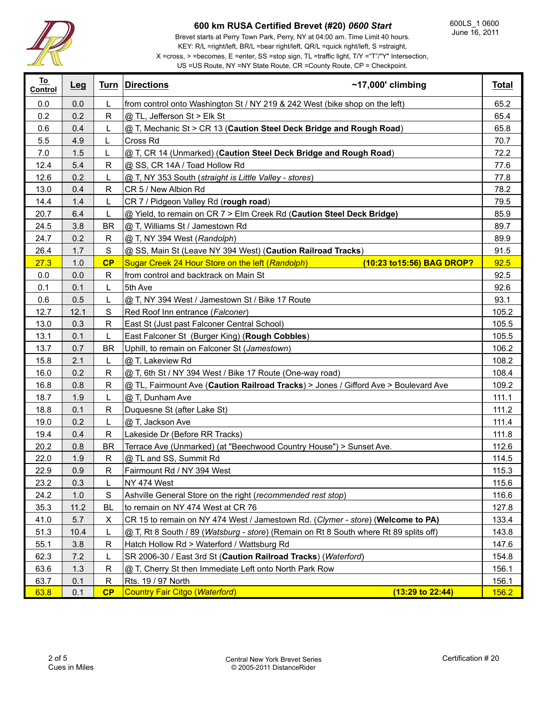

T

# **600 km RUSA Certified Brevet (#20)** *0600 Start*

Brevet starts at Perry Town Park, Perry, NY at 04:00 am. Time Limit 40 hours. KEY: R/L =right/left, BR/L =bear right/left, QR/L =quick right/left, S =straight,

X =cross, > =becomes, E =enter, SS =stop sign, TL =traffic light, T/Y ="T"/"Y" Intersection,

|  |  | US = US Route, $NY = NY$ State Route, $CR =$ County Route, $CP =$ Checkpoint. |  |
|--|--|-------------------------------------------------------------------------------|--|

| <u>To</u><br>Control | Leg   |               | $~17,000$ ' climbing<br>Turn Directions                                               | <b>Total</b> |
|----------------------|-------|---------------|---------------------------------------------------------------------------------------|--------------|
| 0.0                  | 0.0   | L             | from control onto Washington St / NY 219 & 242 West (bike shop on the left)           | 65.2         |
| 0.2                  | 0.2   | R             | @ TL, Jefferson St > Elk St                                                           | 65.4         |
| 0.6                  | 0.4   | L.            | @ T, Mechanic St > CR 13 (Caution Steel Deck Bridge and Rough Road)                   | 65.8         |
| 5.5                  | 4.9   |               | Cross Rd                                                                              | 70.7         |
| 7.0                  | 1.5   |               | @ T, CR 14 (Unmarked) (Caution Steel Deck Bridge and Rough Road)                      | 72.2         |
| 12.4                 | 5.4   | R             | @ SS, CR 14A / Toad Hollow Rd                                                         | 77.6         |
| 12.6                 | 0.2   | L             | @ T, NY 353 South (straight is Little Valley - stores)                                | 77.8         |
| 13.0                 | 0.4   | $\mathsf{R}$  | CR 5 / New Albion Rd                                                                  | 78.2         |
| 14.4                 | $1.4$ | L             | CR 7 / Pidgeon Valley Rd (rough road)                                                 | 79.5         |
| 20.7                 | 6.4   | L             | @ Yield, to remain on CR 7 > Elm Creek Rd (Caution Steel Deck Bridge)                 | 85.9         |
| 24.5                 | 3.8   | <b>BR</b>     | @ T, Williams St / Jamestown Rd                                                       | 89.7         |
| 24.7                 | 0.2   | R             | @ T, NY 394 West (Randolph)                                                           | 89.9         |
| 26.4                 | 1.7   | S             | @ SS, Main St (Leave NY 394 West) (Caution Railroad Tracks)                           | 91.5         |
| 27.3                 | 1.0   | CP            | Sugar Creek 24 Hour Store on the left (Randolph)<br>(10:23 to 15:56) BAG DROP?        | 92.5         |
| 0.0                  | 0.0   | R             | from control and backtrack on Main St                                                 | 92.5         |
| 0.1                  | 0.1   | L             | 5th Ave                                                                               | 92.6         |
| 0.6                  | 0.5   | L             | @ T, NY 394 West / Jamestown St / Bike 17 Route                                       | 93.1         |
| 12.7                 | 12.1  | ${\mathsf S}$ | Red Roof Inn entrance (Falconer)                                                      | 105.2        |
| 13.0                 | 0.3   | R             | East St (Just past Falconer Central School)                                           | 105.5        |
| 13.1                 | 0.1   |               | East Falconer St (Burger King) (Rough Cobbles)                                        | 105.5        |
| 13.7                 | 0.7   | <b>BR</b>     | Uphill, to remain on Falconer St (Jamestown)                                          | 106.2        |
| 15.8                 | 2.1   | L             | @ T, Lakeview Rd                                                                      | 108.2        |
| 16.0                 | 0.2   | $\mathsf R$   | @ T, 6th St / NY 394 West / Bike 17 Route (One-way road)                              | 108.4        |
| 16.8                 | 0.8   | R             | @ TL, Fairmount Ave (Caution Railroad Tracks) > Jones / Gifford Ave > Boulevard Ave   | 109.2        |
| 18.7                 | 1.9   | L             | @ T, Dunham Ave                                                                       | 111.1        |
| 18.8                 | 0.1   | R             | Duquesne St (after Lake St)                                                           | 111.2        |
| 19.0                 | 0.2   |               | @ T, Jackson Ave                                                                      | 111.4        |
| 19.4                 | 0.4   | R             | Lakeside Dr (Before RR Tracks)                                                        | 111.8        |
| 20.2                 | 0.8   | <b>BR</b>     | Terrace Ave (Unmarked) (at "Beechwood Country House") > Sunset Ave.                   | 112.6        |
| 22.0                 | 1.9   | R             | @ TL and SS, Summit Rd                                                                | 114.5        |
| 22.9                 | 0.9   | R             | Fairmount Rd / NY 394 West                                                            | 115.3        |
| 23.2                 | 0.3   | L             | NY 474 West                                                                           | 115.6        |
| 24.2                 | 1.0   | $\mathbf S$   | Ashville General Store on the right (recommended rest stop)                           | 116.6        |
| 35.3                 | 11.2  | <b>BL</b>     | to remain on NY 474 West at CR 76                                                     | 127.8        |
| 41.0                 | 5.7   | X             | CR 15 to remain on NY 474 West / Jamestown Rd. (Clymer - store) (Welcome to PA)       | 133.4        |
| 51.3                 | 10.4  |               | @ T, Rt 8 South / 89 (Watsburg - store) (Remain on Rt 8 South where Rt 89 splits off) | 143.8        |
| 55.1                 | 3.8   | R             | Hatch Hollow Rd > Waterford / Wattsburg Rd                                            | 147.6        |
| 62.3                 | 7.2   |               | SR 2006-30 / East 3rd St (Caution Railroad Tracks) (Waterford)                        | 154.8        |
| 63.6                 | 1.3   | R             | @ T, Cherry St then Immediate Left onto North Park Row                                | 156.1        |
| 63.7                 | 0.1   | R             | Rts. 19 / 97 North                                                                    | 156.1        |
| 63.8                 | 0.1   | CP            | <b>Country Fair Citgo (Waterford)</b><br>$(13:29 \text{ to } 22:44)$                  | 156.2        |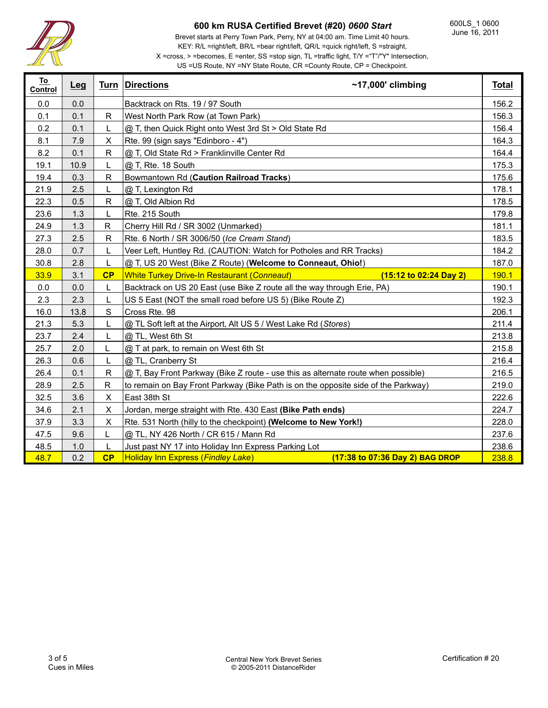

600LS\_1 0600 June 16, 2011

Brevet starts at Perry Town Park, Perry, NY at 04:00 am. Time Limit 40 hours. KEY: R/L =right/left, BR/L =bear right/left, QR/L =quick right/left, S =straight,

### X =cross, > =becomes, E =enter, SS =stop sign, TL =traffic light, T/Y ="T"/"Y" Intersection, US =US Route, NY =NY State Route, CR =County Route, CP = Checkpoint.

| To<br>Control | Leg  |              | <b>Turn Directions</b><br>$~17,000$ ' climbing                                                   | <b>Total</b> |
|---------------|------|--------------|--------------------------------------------------------------------------------------------------|--------------|
| 0.0           | 0.0  |              | Backtrack on Rts. 19 / 97 South                                                                  | 156.2        |
| 0.1           | 0.1  | R            | West North Park Row (at Town Park)                                                               | 156.3        |
| 0.2           | 0.1  | L            | @ T, then Quick Right onto West 3rd St > Old State Rd                                            | 156.4        |
| 8.1           | 7.9  | X            | Rte. 99 (sign says "Edinboro - 4")                                                               | 164.3        |
| 8.2           | 0.1  | R            | @ T, Old State Rd > Franklinville Center Rd                                                      | 164.4        |
| 19.1          | 10.9 | L            | @ T, Rte. 18 South                                                                               | 175.3        |
| 19.4          | 0.3  | $\mathsf{R}$ | Bowmantown Rd (Caution Railroad Tracks)                                                          | 175.6        |
| 21.9          | 2.5  | L            | @ T, Lexington Rd                                                                                | 178.1        |
| 22.3          | 0.5  | R            | @ T, Old Albion Rd                                                                               | 178.5        |
| 23.6          | 1.3  | L            | Rte. 215 South                                                                                   | 179.8        |
| 24.9          | 1.3  | $\mathsf{R}$ | Cherry Hill Rd / SR 3002 (Unmarked)                                                              | 181.1        |
| 27.3          | 2.5  | R            | Rte. 6 North / SR 3006/50 (Ice Cream Stand)                                                      |              |
| 28.0          | 0.7  | L            | Veer Left, Huntley Rd. (CAUTION: Watch for Potholes and RR Tracks)                               |              |
| 30.8          | 2.8  | L            | @ T, US 20 West (Bike Z Route) (Welcome to Conneaut, Ohio!)                                      |              |
| 33.9          | 3.1  | CP           | <b>White Turkey Drive-In Restaurant (Conneaut)</b><br>$(15:12 \text{ to } 02:24 \text{ Day } 2)$ |              |
| 0.0           | 0.0  | L            | Backtrack on US 20 East (use Bike Z route all the way through Erie, PA)                          | 190.1        |
|               |      |              | US 5 East (NOT the small road before US 5) (Bike Route Z)                                        |              |
| 2.3           | 2.3  | L            |                                                                                                  | 192.3        |
| 16.0          | 13.8 | $\mathbf S$  | Cross Rte. 98                                                                                    | 206.1        |
| 21.3          | 5.3  | L            | @ TL Soft left at the Airport, Alt US 5 / West Lake Rd (Stores)                                  | 211.4        |
| 23.7          | 2.4  | L            | @ TL, West 6th St                                                                                | 213.8        |
| 25.7          | 2.0  | L            | @ T at park, to remain on West 6th St                                                            | 215.8        |
| 26.3          | 0.6  | L            | @ TL, Cranberry St                                                                               | 216.4        |
| 26.4          | 0.1  | R            | @ T, Bay Front Parkway (Bike Z route - use this as alternate route when possible)                | 216.5        |
| 28.9          | 2.5  | R            | to remain on Bay Front Parkway (Bike Path is on the opposite side of the Parkway)                | 219.0        |
| 32.5          | 3.6  | X            | East 38th St                                                                                     | 222.6        |
| 34.6          | 2.1  | X            | Jordan, merge straight with Rte. 430 East (Bike Path ends)                                       | 224.7        |
| 37.9          | 3.3  | X            | Rte. 531 North (hilly to the checkpoint) (Welcome to New York!)                                  | 228.0        |
| 47.5          | 9.6  | L            | @ TL, NY 426 North / CR 615 / Mann Rd                                                            | 237.6        |
| 48.5          | 1.0  | L            | Just past NY 17 into Holiday Inn Express Parking Lot                                             | 238.6        |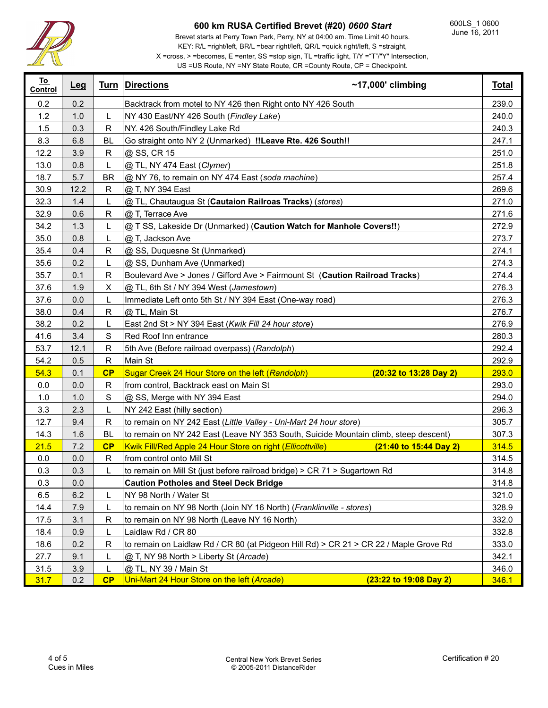

Brevet starts at Perry Town Park, Perry, NY at 04:00 am. Time Limit 40 hours. KEY: R/L =right/left, BR/L =bear right/left, QR/L =quick right/left, S =straight,

X =cross, > =becomes, E =enter, SS =stop sign, TL =traffic light, T/Y ="T"/"Y" Intersection,

| US = US Route, NY = NY State Route, $CR$ = County Route, $CP$ = Checkpoint. |  |
|-----------------------------------------------------------------------------|--|
|                                                                             |  |

| <u>To</u><br>Control | Leg  |               | $~17,000$ ' climbing<br>Turn Directions                                                    | <b>Total</b> |
|----------------------|------|---------------|--------------------------------------------------------------------------------------------|--------------|
| 0.2                  | 0.2  |               | Backtrack from motel to NY 426 then Right onto NY 426 South                                |              |
| 1.2                  | 1.0  |               | NY 430 East/NY 426 South (Findley Lake)                                                    |              |
| 1.5                  | 0.3  | R             | NY. 426 South/Findley Lake Rd                                                              |              |
| 8.3                  | 6.8  | <b>BL</b>     | Go straight onto NY 2 (Unmarked) !! Leave Rte. 426 South!!                                 | 247.1        |
| 12.2                 | 3.9  | R             | @ SS, CR 15                                                                                | 251.0        |
| 13.0                 | 0.8  |               | @ TL, NY 474 East (Clymer)                                                                 | 251.8        |
| 18.7                 | 5.7  | <b>BR</b>     | @ NY 76, to remain on NY 474 East (soda machine)                                           | 257.4        |
| 30.9                 | 12.2 | R             | @ T, NY 394 East                                                                           | 269.6        |
| 32.3                 | 1.4  | L             | @ TL, Chautaugua St (Cautaion Railroas Tracks) (stores)                                    | 271.0        |
| 32.9                 | 0.6  | R             | @ T, Terrace Ave                                                                           | 271.6        |
| 34.2                 | 1.3  | L             | @ T SS, Lakeside Dr (Unmarked) (Caution Watch for Manhole Covers!!)                        | 272.9        |
| 35.0                 | 0.8  | L             | @ T, Jackson Ave                                                                           | 273.7        |
| 35.4                 | 0.4  | R             | @ SS, Duquesne St (Unmarked)                                                               | 274.1        |
| 35.6                 | 0.2  | L             | @ SS, Dunham Ave (Unmarked)                                                                | 274.3        |
| 35.7                 | 0.1  | R             | Boulevard Ave > Jones / Gifford Ave > Fairmount St (Caution Railroad Tracks)               | 274.4        |
| 37.6                 | 1.9  | X             | @ TL, 6th St / NY 394 West (Jamestown)                                                     | 276.3        |
| 37.6                 | 0.0  | L             | Immediate Left onto 5th St / NY 394 East (One-way road)                                    | 276.3        |
| 38.0                 | 0.4  | R             | @ TL, Main St                                                                              | 276.7        |
| 38.2                 | 0.2  |               | East 2nd St > NY 394 East (Kwik Fill 24 hour store)                                        |              |
| 41.6                 | 3.4  | S             | Red Roof Inn entrance                                                                      |              |
| 53.7                 | 12.1 | R             | 5th Ave (Before railroad overpass) (Randolph)                                              |              |
| 54.2                 | 0.5  | R             | Main St                                                                                    |              |
| 54.3                 | 0.1  | CP            | Sugar Creek 24 Hour Store on the left (Randolph)<br>(20:32 to 13:28 Day 2)                 | 293.0        |
| 0.0                  | 0.0  | R             | from control, Backtrack east on Main St                                                    | 293.0        |
| 1.0                  | 1.0  | ${\mathsf S}$ | @ SS, Merge with NY 394 East                                                               | 294.0        |
| 3.3                  | 2.3  | L             | NY 242 East (hilly section)                                                                | 296.3        |
| 12.7                 | 9.4  | R             | to remain on NY 242 East (Little Valley - Uni-Mart 24 hour store)                          | 305.7        |
| 14.3                 | 1.6  | BL.           | to remain on NY 242 East (Leave NY 353 South, Suicide Mountain climb, steep descent)       | 307.3        |
| 21.5                 | 7.2  | CP            | Kwik Fill/Red Apple 24 Hour Store on right ( <i>Ellicottville</i> ) (21:40 to 15:44 Day 2) | 314.5        |
| 0.0                  | 0.0  | R             | from control onto Mill St                                                                  | 314.5        |
| 0.3                  | 0.3  | L             | to remain on Mill St (just before railroad bridge) > CR 71 > Sugartown Rd                  | 314.8        |
| 0.3                  | 0.0  |               | <b>Caution Potholes and Steel Deck Bridge</b>                                              |              |
| 6.5                  | 6.2  |               | NY 98 North / Water St                                                                     | 321.0        |
| 14.4                 | 7.9  | L             | to remain on NY 98 North (Join NY 16 North) (Franklinville - stores)                       |              |
| 17.5                 | 3.1  | R             | to remain on NY 98 North (Leave NY 16 North)                                               | 332.0        |
| 18.4                 | 0.9  |               | 332.8<br>Laidlaw Rd / CR 80                                                                |              |
| 18.6                 | 0.2  | R             | to remain on Laidlaw Rd / CR 80 (at Pidgeon Hill Rd) > CR 21 > CR 22 / Maple Grove Rd      | 333.0        |
| 27.7                 | 9.1  |               | @ T, NY 98 North > Liberty St (Arcade)<br>342.1                                            |              |
| 31.5                 | 3.9  |               | 346.0<br>@ TL, NY 39 / Main St                                                             |              |
| 31.7                 | 0.2  | CP            | Uni-Mart 24 Hour Store on the left (Arcade)<br>(23:22 to 19:08 Day 2)                      | 346.1        |